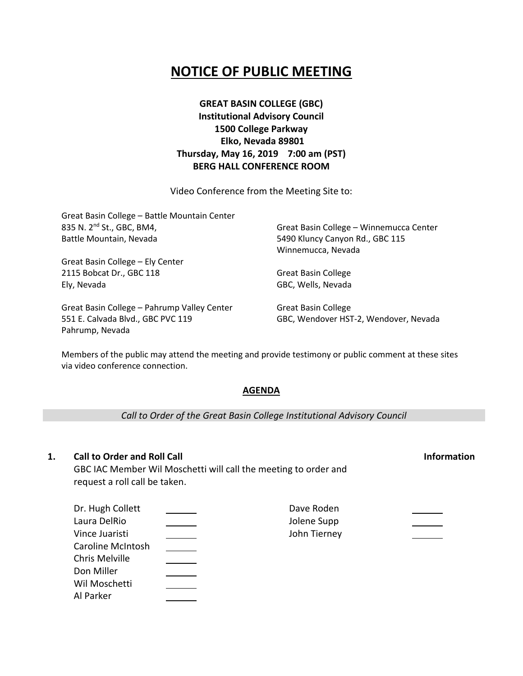# **NOTICE OF PUBLIC MEETING**

**GREAT BASIN COLLEGE (GBC) Institutional Advisory Council 1500 College Parkway Elko, Nevada 89801 Thursday, May 16, 2019 7:00 am (PST) BERG HALL CONFERENCE ROOM**

Video Conference from the Meeting Site to:

| Great Basin College - Battle Mountain Center |                                         |  |
|----------------------------------------------|-----------------------------------------|--|
| 835 N. 2 <sup>nd</sup> St., GBC, BM4,        | Great Basin College - Winnemucca Center |  |
| Battle Mountain, Nevada                      | 5490 Kluncy Canyon Rd., GBC 115         |  |
|                                              | Winnemucca, Nevada                      |  |
| Great Basin College - Ely Center             |                                         |  |
| 2115 Bobcat Dr., GBC 118                     | <b>Great Basin College</b>              |  |
| Ely, Nevada                                  | GBC, Wells, Nevada                      |  |
| Great Basin College - Pahrump Valley Center  | <b>Great Basin College</b>              |  |
| 551 E. Calvada Blvd., GBC PVC 119            | GBC, Wendover HST-2, Wendover, Nevada   |  |

Members of the public may attend the meeting and provide testimony or public comment at these sites via video conference connection.

### **AGENDA**

*Call to Order of the Great Basin College Institutional Advisory Council*

### **1. Call to Order and Roll Call Information**

Pahrump, Nevada

GBC IAC Member Wil Moschetti will call the meeting to order and request a roll call be taken.

| Dr. Hugh Collett  | Dave Roden   |  |
|-------------------|--------------|--|
| Laura DelRio      | Jolene Supp  |  |
| Vince Juaristi    | John Tierney |  |
| Caroline McIntosh |              |  |
| Chris Melville    |              |  |
| Don Miller        |              |  |
| Wil Moschetti     |              |  |
| Al Parker         |              |  |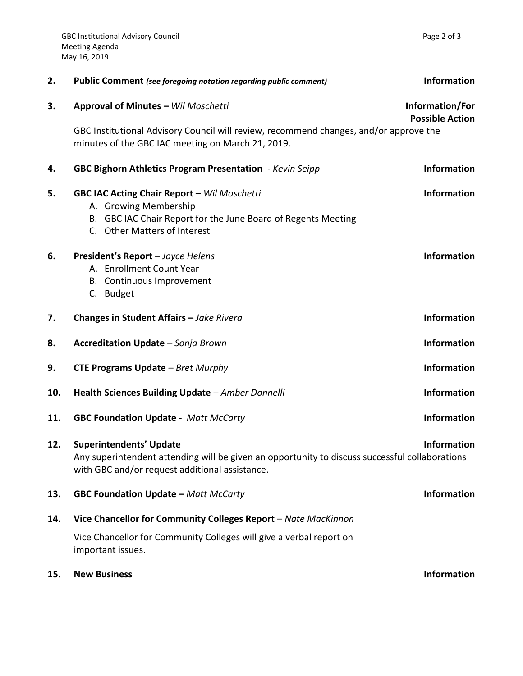| 2.  | <b>Public Comment</b> (see foregoing notation regarding public comment)                                                                                                            | <b>Information</b>                        |
|-----|------------------------------------------------------------------------------------------------------------------------------------------------------------------------------------|-------------------------------------------|
| 3.  | Approval of Minutes - Wil Moschetti                                                                                                                                                | Information/For<br><b>Possible Action</b> |
|     | GBC Institutional Advisory Council will review, recommend changes, and/or approve the<br>minutes of the GBC IAC meeting on March 21, 2019.                                         |                                           |
| 4.  | <b>GBC Bighorn Athletics Program Presentation</b> - Kevin Seipp                                                                                                                    | <b>Information</b>                        |
| 5.  | GBC IAC Acting Chair Report - Wil Moschetti<br>A. Growing Membership<br>B. GBC IAC Chair Report for the June Board of Regents Meeting<br>C. Other Matters of Interest              | <b>Information</b>                        |
| 6.  | President's Report - Joyce Helens<br>A. Enrollment Count Year<br>B. Continuous Improvement<br>C. Budget                                                                            | <b>Information</b>                        |
| 7.  | Changes in Student Affairs - Jake Rivera                                                                                                                                           | <b>Information</b>                        |
| 8.  | Accreditation Update - Sonja Brown                                                                                                                                                 | <b>Information</b>                        |
| 9.  | <b>CTE Programs Update</b> $-$ Bret Murphy                                                                                                                                         | <b>Information</b>                        |
| 10. | Health Sciences Building Update - Amber Donnelli                                                                                                                                   | <b>Information</b>                        |
| 11. | <b>GBC Foundation Update - Matt McCarty</b>                                                                                                                                        | <b>Information</b>                        |
| 12. | <b>Superintendents' Update</b><br>Any superintendent attending will be given an opportunity to discuss successful collaborations<br>with GBC and/or request additional assistance. | <b>Information</b>                        |
| 13. | <b>GBC Foundation Update - Matt McCarty</b>                                                                                                                                        | <b>Information</b>                        |
| 14. | Vice Chancellor for Community Colleges Report - Nate MacKinnon                                                                                                                     |                                           |
|     | Vice Chancellor for Community Colleges will give a verbal report on<br>important issues.                                                                                           |                                           |
| 15. | <b>New Business</b>                                                                                                                                                                | <b>Information</b>                        |